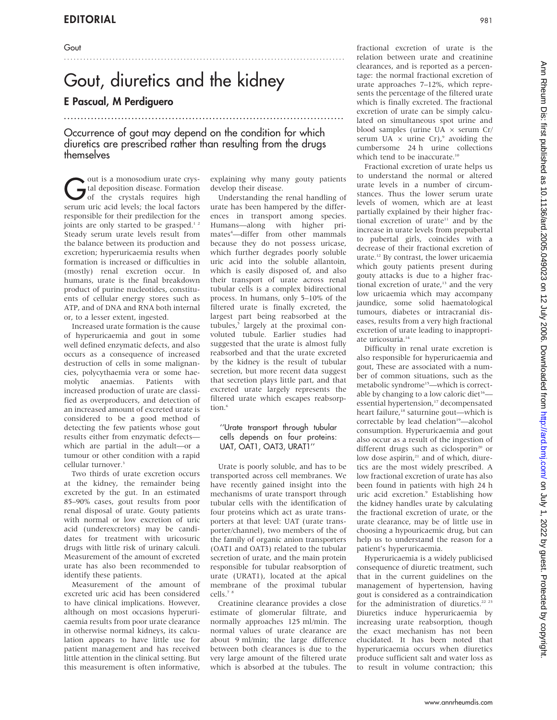# Gout, diuretics and the kidney

# E Pascual, M Perdiguero

Occurrence of gout may depend on the condition for which diuretics are prescribed rather than resulting from the drugs themselves

...................................................................................

**Gout is a monosodium urate crystal deposition**<br>of the crystals requires high<br>communicated by the local factors tal deposition disease. Formation of the crystals requires high serum uric acid levels; the local factors responsible for their predilection for the joints are only started to be grasped.<sup>12</sup> Steady serum urate levels result from the balance between its production and excretion; hyperuricaemia results when formation is increased or difficulties in (mostly) renal excretion occur. In humans, urate is the final breakdown product of purine nucleotides, constituents of cellular energy stores such as ATP, and of DNA and RNA both internal or, to a lesser extent, ingested.

Increased urate formation is the cause of hyperuricaemia and gout in some well defined enzymatic defects, and also occurs as a consequence of increased destruction of cells in some malignancies, polycythaemia vera or some haemolytic anaemias. Patients with increased production of urate are classified as overproducers, and detection of an increased amount of excreted urate is considered to be a good method of detecting the few patients whose gout results either from enzymatic defects which are partial in the adult—or a tumour or other condition with a rapid cellular turnover.3

Two thirds of urate excretion occurs at the kidney, the remainder being excreted by the gut. In an estimated 85–90% cases, gout results from poor renal disposal of urate. Gouty patients with normal or low excretion of uric acid (underexcretors) may be candidates for treatment with uricosuric drugs with little risk of urinary calculi. Measurement of the amount of excreted urate has also been recommended to identify these patients.

Measurement of the amount of excreted uric acid has been considered to have clinical implications. However, although on most occasions hyperuricaemia results from poor urate clearance in otherwise normal kidneys, its calculation appears to have little use for patient management and has received little attention in the clinical setting. But this measurement is often informative,

explaining why many gouty patients develop their disease.

.......................................................................................

Understanding the renal handling of urate has been hampered by the differences in transport among species. Humans—along with higher primates<sup>4</sup>—differ from other mammals because they do not possess uricase, which further degrades poorly soluble uric acid into the soluble allantoin, which is easily disposed of, and also their transport of urate across renal tubular cells is a complex bidirectional process. In humans, only 5–10% of the filtered urate is finally excreted, the largest part being reabsorbed at the tubules,<sup>5</sup> largely at the proximal convoluted tubule. Earlier studies had suggested that the urate is almost fully reabsorbed and that the urate excreted by the kidney is the result of tubular secretion, but more recent data suggest that secretion plays little part, and that excreted urate largely represents the filtered urate which escapes reabsorption.<sup>6</sup>

### ''Urate transport through tubular cells depends on four proteins: UAT, OAT1, OAT3, URAT1''

Urate is poorly soluble, and has to be transported across cell membranes. We have recently gained insight into the mechanisms of urate transport through tubular cells with the identification of four proteins which act as urate transporters at that level: UAT (urate transporter/channel), two members of the of the family of organic anion transporters (OAT1 and OAT3) related to the tubular secretion of urate, and the main protein responsible for tubular reabsorption of urate (URAT1), located at the apical membrane of the proximal tubular cells.7 8

Creatinine clearance provides a close estimate of glomerular filtrate, and normally approaches 125 ml/min. The normal values of urate clearance are about 9 ml/min; the large difference between both clearances is due to the very large amount of the filtered urate which is absorbed at the tubules. The fractional excretion of urate is the relation between urate and creatinine clearances, and is reported as a percentage: the normal fractional excretion of urate approaches 7–12%, which represents the percentage of the filtered urate which is finally excreted. The fractional excretion of urate can be simply calculated on simultaneous spot urine and blood samples (urine UA  $\times$  serum Cr/ serum UA  $\times$  urine Cr),<sup>9</sup> avoiding the cumbersome 24 h urine collections which tend to be inaccurate.<sup>10</sup>

Fractional excretion of urate helps us to understand the normal or altered urate levels in a number of circumstances. Thus the lower serum urate levels of women, which are at least partially explained by their higher fractional excretion of urate<sup>11</sup> and by the increase in urate levels from prepubertal to pubertal girls, coincides with a decrease of their fractional excretion of urate.12 By contrast, the lower uricaemia which gouty patients present during gouty attacks is due to a higher fractional excretion of urate,<sup>13</sup> and the very low uricaemia which may accompany jaundice, some solid haematological tumours, diabetes or intracranial diseases, results from a very high fractional excretion of urate leading to inappropriate uricosuria.<sup>14</sup>

Difficulty in renal urate excretion is also responsible for hyperuricaemia and gout, These are associated with a number of common situations, such as the metabolic syndrome<sup>15</sup>—which is correctable by changing to a low caloric diet $16$  essential hypertension,<sup>17</sup> decompensated heart failure,<sup>18</sup> saturnine gout—which is correctable by lead chelation<sup>19</sup>-alcohol consumption. Hyperuricaemia and gout also occur as a result of the ingestion of different drugs such as ciclosporin<sup>20</sup> or low dose aspirin, $21$  and of which, diuretics are the most widely prescribed. A low fractional excretion of urate has also been found in patients with high 24 h uric acid excretion.<sup>9</sup> Establishing how the kidney handles urate by calculating the fractional excretion of urate, or the urate clearance, may be of little use in choosing a hypouricaemic drug, but can help us to understand the reason for a patient's hyperuricaemia.

Hyperuricaemia is a widely publicised consequence of diuretic treatment, such that in the current guidelines on the management of hypertension, having gout is considered as a contraindication for the administration of diuretics.<sup>22</sup> <sup>23</sup> Diuretics induce hyperuricaemia by increasing urate reabsorption, though the exact mechanism has not been elucidated. It has been noted that hyperuricaemia occurs when diuretics produce sufficient salt and water loss as to result in volume contraction; this